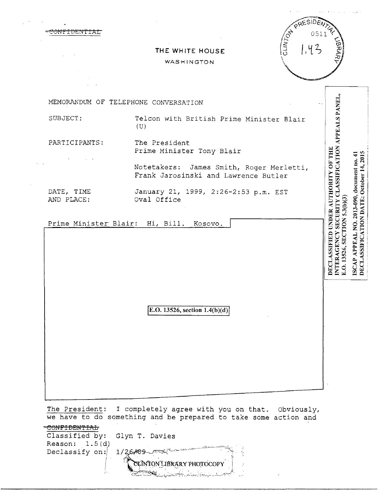| FIDENITAT                | CLINTON<br>0511<br>1.4<br>THE WHITE HOUSE<br>WASHINGTON                          | つてやす                                                          |
|--------------------------|----------------------------------------------------------------------------------|---------------------------------------------------------------|
|                          | MEMORANDUM OF TELEPHONE CONVERSATION                                             |                                                               |
| SUBJECT:                 | Telcon with British Prime Minister Blair<br>(U)                                  | SECURITY CLASSIFICATION APPEALS PANEL,                        |
| PARTICIPANTS:            | The President<br>Prime Minister Tony Blair                                       | 2015<br>41                                                    |
|                          | Notetakers: James Smith, Roger Merletti,<br>Frank Jarosinski and Lawrence Butler | document no.<br>October 14,                                   |
| DATE, TIME<br>AND PLACE: | January 21, 1999, 2:26-2:53 p.m. EST<br>Oval Office                              | DECLASSIFIED UNDER AUTHORITY OF THE<br>2013-090,<br>5.3(b)(3) |
|                          | Prime Minister Blair: Hi, Bill.<br>Kosovo.                                       | DECLASSIFICATION DATE:<br><b>SECTION</b>                      |
|                          |                                                                                  | APPEAL NO.<br>INTERAGENCY<br>E.O. 13526,                      |
|                          |                                                                                  | <b>ISCAP</b>                                                  |

 $\frac{1}{2}$  ,  $\frac{1}{2}$ 

 $E. O. 13526, section 1.4(b)(d)$ 

The President: I completely agree with you on that. obviously, we have to do something and be prepared to take some action and

| Classified by: Glyn T. Davies |                                                                  |
|-------------------------------|------------------------------------------------------------------|
| Reason: $1.5(d)$              |                                                                  |
| Declassify on:                | 1/26/09                                                          |
|                               | CLINTON LIBRARY PHOTOCOPY<br>البلهريك الشيعة وأبلائك والجعليليين |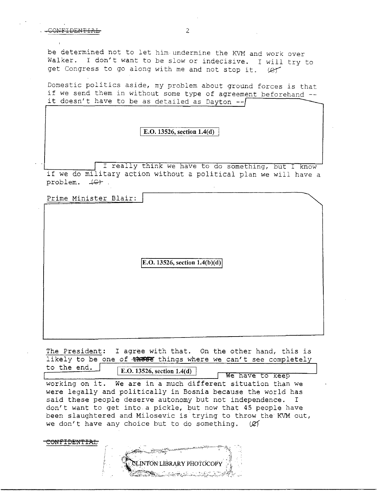## contribution to the contribution of the contribution of  $2$

be determined not to let him undermine the KVM and work over Walker. I don't want to be slow or indecisive. I will try to get Congress to go along with me and not stop it. (et

Domestic politics aside, my problem about ground forces is that if we send them in without some type of agreement beforehand -it doesn't have to be as detailed as Dayton -

I E.O. 13526, section 1.4(d)

I really think we have to do something, but I know if we do military action without a political plan we will have a  $problem.$   $#C+$ .

Prime Minister Blair:

<del>CONFIDENTIAL</del>

E.O. 13526, section  $1.4(b)(d)$ 

The President: I agree with that. On the other hand, this is likely to be one of  $\frac{1}{2}$  these things where we can't see completely to the end.  $E.O. 13526$ , section  $1.4(d)$ 

working on it. We are in a much different situation than we were legally and politically in Bosnia because the world has said these people deserve autonomy but not independence. I don't want to get into a pickle, but now that 45 people have been slaughtered and Milosevic is trying to throw the KVM out, we don't have any choice but to do something.  $(Xf)$ We have to keep

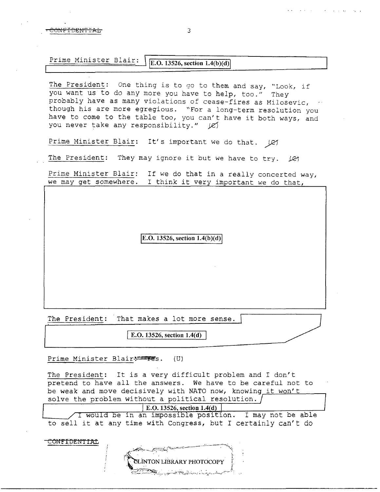## Prime Minister Blair:  $\big|$  [E.O. 13526, section 1.4(b)(d)]

The President: One thing is to go to them and say, "Look, if you want us to do any more you have to help, too." They probably have as many violations of cease-fires as Milosevic, though his are more egregious. "For a long-term resolution you have to come to the table too, you can't have it both ways, and you never take any responsibility."  $|Z\rangle$ 

Prime Minister Blair: It's important we do that. *[21* 

The President: They may ignore it but we have to try. *IQ* 

Prime Minister Blair: If we do that in a really concerted way, we may get somewhere. I think it very important we do that,

 $|E.O. 13526$ , section  $1.4(b)(d)|$ 

The President: That makes a lot more sense.

E.O. 13526, section  $1.4(d)$ 

Prime Minister Blair-<sup>2</sup>78s. (U)

CONFIDENTIAL

The President: It is a very difficult problem and I don't pretend to have all the answers. We have to be careful not to be weak and move decisively with NATO now, knowing it won't solve the problem without a political resolution.

E.O. 13526, section 1.4(d)

I would be in an impossible position. I may not be able to sell it at any time with Congress, but I certainly can't do

INTON LIBRARY PHOTOCOPY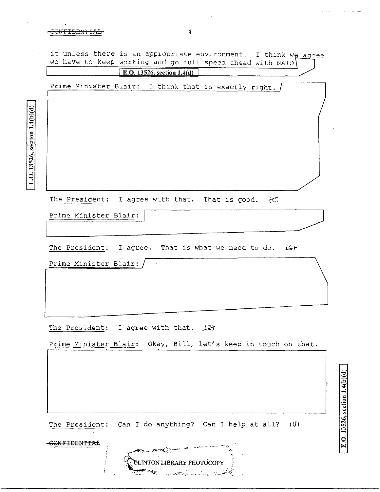J.

 $\ddot{\phantom{0}}$ 

 $\hat{\boldsymbol{\beta}}$ 

E.O. 13526, section  $1.4(b)(d)$ 

|                        | E.O. 13526, section 1.4(d)                                                               |  |
|------------------------|------------------------------------------------------------------------------------------|--|
|                        | Prime Minister Blair: I think that is exactly right.                                     |  |
|                        |                                                                                          |  |
|                        |                                                                                          |  |
|                        |                                                                                          |  |
|                        |                                                                                          |  |
|                        |                                                                                          |  |
|                        | The President: I agree with that. That is good. $\left\langle \mathcal{C} \right\rangle$ |  |
|                        | Prime Minister Blair:                                                                    |  |
|                        |                                                                                          |  |
|                        | The President: I agree. That is what we need to do. (C)                                  |  |
|                        | Prime Minister Blair:                                                                    |  |
|                        |                                                                                          |  |
|                        |                                                                                          |  |
|                        |                                                                                          |  |
|                        | The President: I agree with that.<br>أتحكه                                               |  |
|                        | Prime Minister Blair: Okay, Bill, let's keep in touch on that.                           |  |
|                        |                                                                                          |  |
|                        |                                                                                          |  |
|                        |                                                                                          |  |
|                        |                                                                                          |  |
|                        | The President: Can I do anything? Can I help at all?<br>(U)                              |  |
| <del>ONFIDENTIAL</del> |                                                                                          |  |
|                        |                                                                                          |  |

E.O. 13526, section 1.4(b)(d)

 $\mathbb{R}^2$ 

 $\ddot{\phantom{a}}$ 

 $\hat{A}$  , and  $\hat{A}$  , and  $\hat{A}$  , and  $\hat{A}$  , and  $\hat{A}$ 

 $\hat{\mathcal{L}}$ 

 $\mathcal{A}^{\pm}$ 

 $\hat{\boldsymbol{\epsilon}}$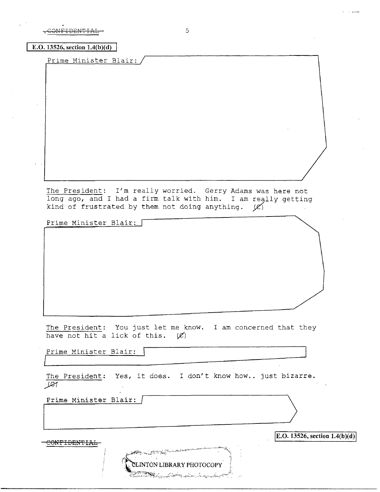$\overline{t}$  DENTIAL  $\overline{t}$  3

**E.O. 13526, section 1.4(b)(d)** 

Prime Minister Blair:

The President: I'm really worried. Gerry Adams was here not long ago, and I had a firm talk with him. I am really getting kind of frustrated by them not doing anything.  $\chi$ 

Prime Minister Blair:

The President: You just let me know. I am concerned that they have not hit a lick of this.  $(\emptyset)$ 

Prime Minister Blair:  $\Box$ 

The President: Yes, it does. I don't know how.. just bizarre.  $f$ 

ILP=r-images in the state  $\sim$ 

LINTON LIBRARY PHOTOCOPY

بمنسى ومناوب بيت والمحال

Prime Minister Blair: /

CONFIDEN'fIAL

**E.O. 13526, section 1.4(b)(d)**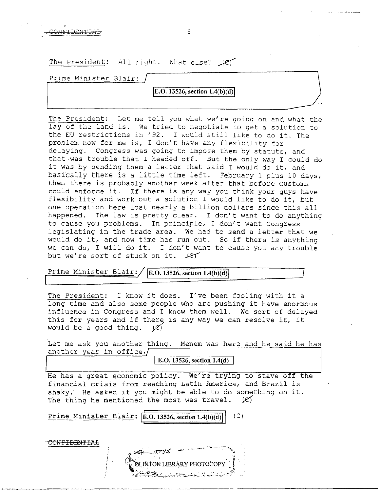| The President: All right. What else? Ier |  |
|------------------------------------------|--|
| Prime Minister Blair:                    |  |
| <b>E.O.</b> 13526, section $1.4(b)(d)$   |  |
|                                          |  |

GONFIDENTIAL<sub>5</sub> 6

The President: Let me tell you what we're going on and what the lay of the land is. We tried to negotiate to get a solution to the EU restrictions in '92. I would still like to do it. The problem now for me is, I don't have any flexibility for delaying. Congress was going to impose them by statute, and that-was trouble that I headed off. But the only way I could do it was by sending them a letter that said I would do it, and basically there is a little time left. February 1 plus 10 days, then there is probably another week after that before customs could enforce it. If there is any way you think your guys have flexibility and work out a solution I would like to do it, but one operation here lost nearly a billion dollars since this all happened. The law is pretty clear. I don't want to do anything to cause you problems. In principle, I don't want Congress legislating in the trade area. We had to send a letter that we would do it, and now time has run out. So if there is anything we can do, I will do it. I don't want to cause you any trouble but we're sort of stuck on it.  $\text{LET}$ 

Prime Minister Blair: *E.O. 13526, section 1.4(b)(d)* 

The President: I know it does. I've been fooling with it a long time and also some people who are pushing it have enormous influence in Congress and I know them well. We sort of delayed this for years and if there *is* any way we can resolve it, it would be a good thing.  $\cancel{(Z)}$ 

Let me ask you another thing. Menem was here and he *said* he has another year in office, $\sqrt{ }$ 

**E.O. 13526, section 1.4(d)** 

He has a great economic policy. We're trying to stave off the financial crisis from reaching Latin America, and Brazil is shaky. He asked if you might be able to do something on it.<br>The thing he mentioned the most was travel.  $\cancel{c}$ The thing he mentioned the most was travel.

Prime Minister Blair: **E.O. 13526, section 1.4(b)(d)** (C)